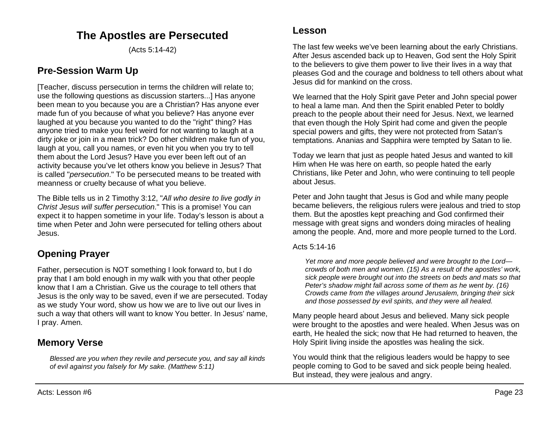# **The Apostles are Persecuted**

(Acts 5:14-42)

# **Pre-Session Warm Up**

[Teacher, discuss persecution in terms the children will relate to; use the following questions as discussion starters...] Has anyone been mean to you because you are a Christian? Has anyone ever made fun of you because of what you believe? Has anyone ever laughed at you because you wanted to do the "right" thing? Has anyone tried to make you feel weird for not wanting to laugh at a dirty joke or join in a mean trick? Do other children make fun of you, laugh at you, call you names, or even hit you when you try to tell them about the Lord Jesus? Have you ever been left out of an activity because you've let others know you believe in Jesus? That is called "*persecution*." To be persecuted means to be treated with meanness or cruelty because of what you believe.

The Bible tells us in 2 Timothy 3:12, "*All who desire to live godly in Christ Jesus will suffer persecution*." This is a promise! You can expect it to happen sometime in your life. Today's lesson is about a time when Peter and John were persecuted for telling others about Jesus.

# **Opening Prayer**

Father, persecution is NOT something I look forward to, but I do pray that I am bold enough in my walk with you that other people know that I am a Christian. Give us the courage to tell others that Jesus is the only way to be saved, even if we are persecuted. Today as we study Your word, show us how we are to live out our lives in such a way that others will want to know You better. In Jesus' name, I pray. Amen.

# **Memory Verse**

*Blessed are you when they revile and persecute you, and say all kinds of evil against you falsely for My sake. (Matthew 5:11)*

The last few weeks we've been learning about the early Christians. After Jesus ascended back up to Heaven, God sent the Holy Spirit to the believers to give them power to live their lives in a way that pleases God and the courage and boldness to tell others about what Jesus did for mankind on the cross.

We learned that the Holy Spirit gave Peter and John special power to heal a lame man. And then the Spirit enabled Peter to boldly preach to the people about their need for Jesus. Next, we learned that even though the Holy Spirit had come and given the people special powers and gifts, they were not protected from Satan's temptations. Ananias and Sapphira were tempted by Satan to lie.

Today we learn that just as people hated Jesus and wanted to kill Him when He was here on earth, so people hated the early Christians, like Peter and John, who were continuing to tell people about Jesus.

Peter and John taught that Jesus is God and while many people became believers, the religious rulers were jealous and tried to stop them. But the apostles kept preaching and God confirmed their message with great signs and wonders doing miracles of healing among the people. And, more and more people turned to the Lord.

## Acts 5:14-16

*Yet more and more people believed and were brought to the Lord crowds of both men and women. (15) As a result of the apostles' work, sick people were brought out into the streets on beds and mats so that Peter's shadow might fall across some of them as he went by. (16) Crowds came from the villages around Jerusalem, bringing their sick and those possessed by evil spirits, and they were all healed.*

Many people heard about Jesus and believed. Many sick people were brought to the apostles and were healed. When Jesus was on earth, He healed the sick; now that He had returned to heaven, the Holy Spirit living inside the apostles was healing the sick.

You would think that the religious leaders would be happy to see people coming to God to be saved and sick people being healed. But instead, they were jealous and angry.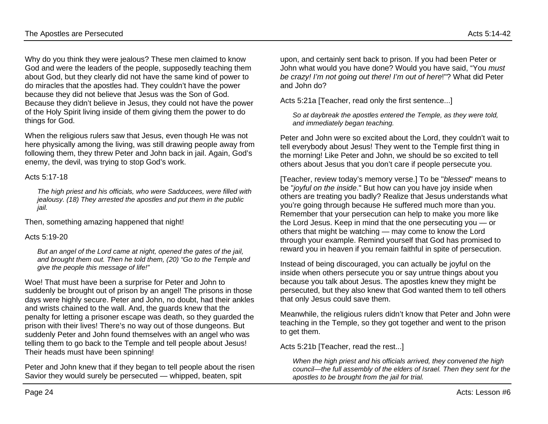Why do you think they were jealous? These men claimed to know God and were the leaders of the people, supposedly teaching them about God, but they clearly did not have the same kind of power to do miracles that the apostles had. They couldn't have the power because they did not believe that Jesus was the Son of God. Because they didn't believe in Jesus, they could not have the power of the Holy Spirit living inside of them giving them the power to do things for God.

When the religious rulers saw that Jesus, even though He was not here physically among the living, was still drawing people away from following them, they threw Peter and John back in jail. Again, God's enemy, the devil, was trying to stop God's work.

#### Acts 5:17-18

*The high priest and his officials, who were Sadducees, were filled with jealousy. (18) They arrested the apostles and put them in the public jail.*

Then, something amazing happened that night!

#### Acts 5:19-20

*But an angel of the Lord came at night, opened the gates of the jail, and brought them out. Then he told them, (20) "Go to the Temple and give the people this message of life!"*

Woe! That must have been a surprise for Peter and John to suddenly be brought out of prison by an angel! The prisons in those days were highly secure. Peter and John, no doubt, had their ankles and wrists chained to the wall. And, the guards knew that the penalty for letting a prisoner escape was death, so they guarded the prison with their lives! There's no way out of those dungeons. But suddenly Peter and John found themselves with an angel who was telling them to go back to the Temple and tell people about Jesus! Their heads must have been spinning!

Peter and John knew that if they began to tell people about the risen Savior they would surely be persecuted — whipped, beaten, spit

upon, and certainly sent back to prison. If you had been Peter or John what would you have done? Would you have said, "You *must be crazy! I'm not going out there! I'm out of here*!"? What did Peter and John do?

Acts 5:21a [Teacher, read only the first sentence...]

*So at daybreak the apostles entered the Temple, as they were told, and immediately began teaching.*

Peter and John were so excited about the Lord, they couldn't wait to tell everybody about Jesus! They went to the Temple first thing in the morning! Like Peter and John, we should be so excited to tell others about Jesus that you don't care if people persecute you.

[Teacher, review today's memory verse.] To be "*blessed*" means to be "*joyful on the inside*." But how can you have joy inside when others are treating you badly? Realize that Jesus understands what you're going through because He suffered much more than you. Remember that your persecution can help to make you more like the Lord Jesus. Keep in mind that the one persecuting you — or others that might be watching — may come to know the Lord through your example. Remind yourself that God has promised to reward you in heaven if you remain faithful in spite of persecution.

Instead of being discouraged, you can actually be joyful on the inside when others persecute you or say untrue things about you because you talk about Jesus. The apostles knew they might be persecuted, but they also knew that God wanted them to tell others that only Jesus could save them.

Meanwhile, the religious rulers didn't know that Peter and John were teaching in the Temple, so they got together and went to the prison to get them.

Acts 5:21b [Teacher, read the rest...]

*When the high priest and his officials arrived, they convened the high council—the full assembly of the elders of Israel. Then they sent for the apostles to be brought from the jail for trial.*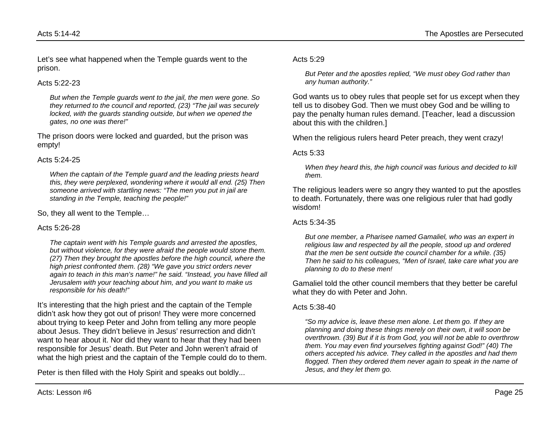Let's see what happened when the Temple guards went to the prison.

#### Acts 5:22-23

*But when the Temple guards went to the jail, the men were gone. So they returned to the council and reported, (23) "The jail was securely locked, with the guards standing outside, but when we opened the gates, no one was there!"*

The prison doors were locked and guarded, but the prison was empty!

#### Acts 5:24-25

*When the captain of the Temple guard and the leading priests heard this, they were perplexed, wondering where it would all end. (25) Then someone arrived with startling news: "The men you put in jail are standing in the Temple, teaching the people!"*

So, they all went to the Temple…

#### Acts 5:26-28

*The captain went with his Temple guards and arrested the apostles, but without violence, for they were afraid the people would stone them. (27) Then they brought the apostles before the high council, where the high priest confronted them. (28) "We gave you strict orders never again to teach in this man's name!" he said. "Instead, you have filled all Jerusalem with your teaching about him, and you want to make us responsible for his death!"*

It's interesting that the high priest and the captain of the Temple didn't ask how they got out of prison! They were more concerned about trying to keep Peter and John from telling any more people about Jesus. They didn't believe in Jesus' resurrection and didn't want to hear about it. Nor did they want to hear that they had been responsible for Jesus' death. But Peter and John weren't afraid of what the high priest and the captain of the Temple could do to them.

Peter is then filled with the Holy Spirit and speaks out boldly...

*But Peter and the apostles replied, "We must obey God rather than any human authority."*

God wants us to obey rules that people set for us except when they tell us to disobey God. Then we must obey God and be willing to pay the penalty human rules demand. [Teacher, lead a discussion about this with the children.]

When the religious rulers heard Peter preach, they went crazy!

Acts  $5:33$ 

*When they heard this, the high council was furious and decided to kill them.*

The religious leaders were so angry they wanted to put the apostles to death. Fortunately, there was one religious ruler that had godly wisdom!

Acts 5:34-35

*But one member, a Pharisee named Gamaliel, who was an expert in religious law and respected by all the people, stood up and ordered that the men be sent outside the council chamber for a while. (35) Then he said to his colleagues, "Men of Israel, take care what you are planning to do to these men!*

Gamaliel told the other council members that they better be careful what they do with Peter and John.

#### Acts 5:38-40

*"So my advice is, leave these men alone. Let them go. If they are planning and doing these things merely on their own, it will soon be overthrown. (39) But if it is from God, you will not be able to overthrow them. You may even find yourselves fighting against God!" (40) The others accepted his advice. They called in the apostles and had them flogged. Then they ordered them never again to speak in the name of Jesus, and they let them go.*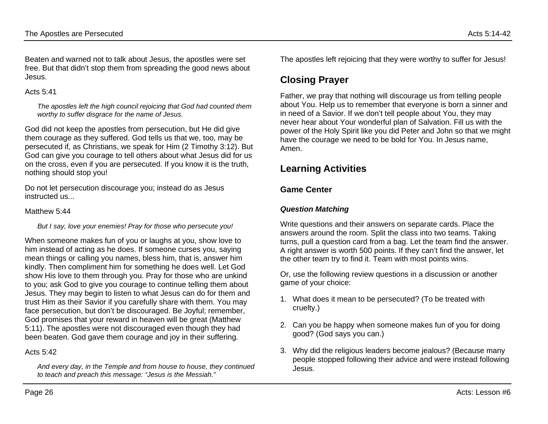Beaten and warned not to talk about Jesus, the apostles were set free. But that didn't stop them from spreading the good news about Jesus.

### Acts  $5:41$

*The apostles left the high council rejoicing that God had counted them worthy to suffer disgrace for the name of Jesus.*

God did not keep the apostles from persecution, but He did give them courage as they suffered. God tells us that we, too, may be persecuted if, as Christians, we speak for Him (2 Timothy 3:12). But God can give you courage to tell others about what Jesus did for us on the cross, even if you are persecuted. If you know it is the truth, nothing should stop you!

Do not let persecution discourage you; instead do as Jesus instructed us...

#### Matthew 5:44

*But I say, love your enemies! Pray for those who persecute you!*

When someone makes fun of you or laughs at you, show love to him instead of acting as he does. If someone curses you, saying mean things or calling you names, bless him, that is, answer him kindly. Then compliment him for something he does well. Let God show His love to them through you. Pray for those who are unkind to you; ask God to give you courage to continue telling them about Jesus. They may begin to listen to what Jesus can do for them and trust Him as their Savior if you carefully share with them. You may face persecution, but don't be discouraged. Be Joyful; remember, God promises that your reward in heaven will be great (Matthew 5:11). The apostles were not discouraged even though they had been beaten. God gave them courage and joy in their suffering.

## Acts 5:42

*And every day, in the Temple and from house to house, they continued to teach and preach this message: "Jesus is the Messiah."*

The apostles left rejoicing that they were worthy to suffer for Jesus!

# **Closing Prayer**

Father, we pray that nothing will discourage us from telling people about You. Help us to remember that everyone is born a sinner and in need of a Savior. If we don't tell people about You, they may never hear about Your wonderful plan of Salvation. Fill us with the power of the Holy Spirit like you did Peter and John so that we might have the courage we need to be bold for You. In Jesus name, Amen.

## **Learning Activities**

## **Game Center**

## *Question Matching*

Write questions and their answers on separate cards. Place the answers around the room. Split the class into two teams. Taking turns, pull a question card from a bag. Let the team find the answer. A right answer is worth 500 points. If they can't find the answer, let the other team try to find it. Team with most points wins.

Or, use the following review questions in a discussion or another game of your choice:

- 1. What does it mean to be persecuted? (To be treated with cruelty.)
- 2. Can you be happy when someone makes fun of you for doing good? (God says you can.)
- 3. Why did the religious leaders become jealous? (Because many people stopped following their advice and were instead following Jesus.